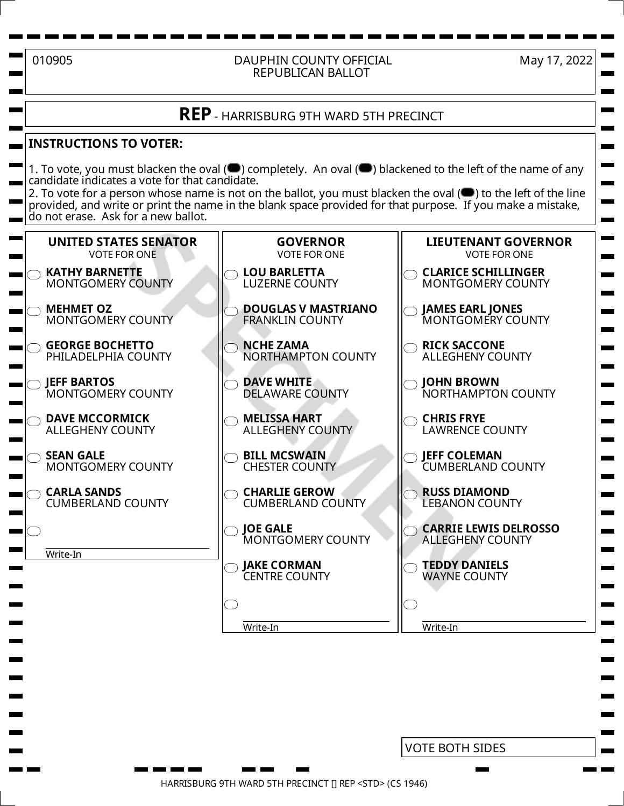## 010905 DAUPHIN COUNTY OFFICIAL REPUBLICAN BALLOT

## **REP**- HARRISBURG 9TH WARD 5TH PRECINCT

## **INSTRUCTIONS TO VOTER:**

1. To vote, you must blacken the oval (<sup>1</sup>) completely. An oval (<sup>2</sup>) blackened to the left of the name of any candidate indicates a vote for that candidate.

2. To vote for a person whose name is not on the ballot, you must blacken the oval  $($ **)** to the left of the line provided, and write or print the name in the blank space provided for that purpose. If you make a mistake, do not erase. Ask for a new ballot.